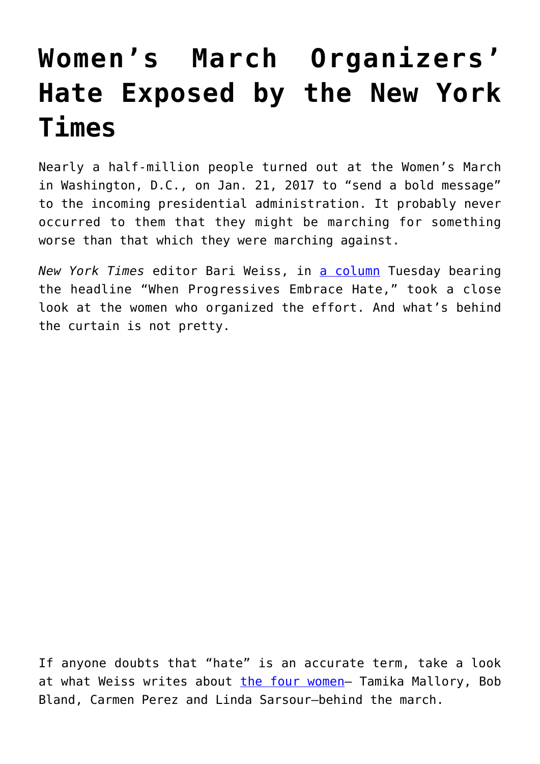## **[Women's March Organizers'](https://intellectualtakeout.org/2017/08/womens-march-organizers-hate-exposed-by-the-new-york-times/) [Hate Exposed by the New York](https://intellectualtakeout.org/2017/08/womens-march-organizers-hate-exposed-by-the-new-york-times/) [Times](https://intellectualtakeout.org/2017/08/womens-march-organizers-hate-exposed-by-the-new-york-times/)**

Nearly a half-million people turned out at the Women's March in Washington, D.C., on Jan. 21, 2017 to "send a bold message" to the incoming presidential administration. It probably never occurred to them that they might be marching for something worse than that which they were marching against.

*New York Times* editor Bari Weiss, in [a column](https://www.nytimes.com/2017/08/01/opinion/womens-march-progressives-hate.html) Tuesday bearing the headline "When Progressives Embrace Hate," took a close look at the women who organized the effort. And what's behind the curtain is not pretty.

If anyone doubts that "hate" is an accurate term, take a look at what Weiss writes about [the four women](http://time.com/collection/2017-time-100/4742711/tamika-mallory-bob-bland-carmen-perez-linda-sarsour/)- Tamika Mallory, Bob Bland, Carmen Perez and Linda Sarsour—behind the march.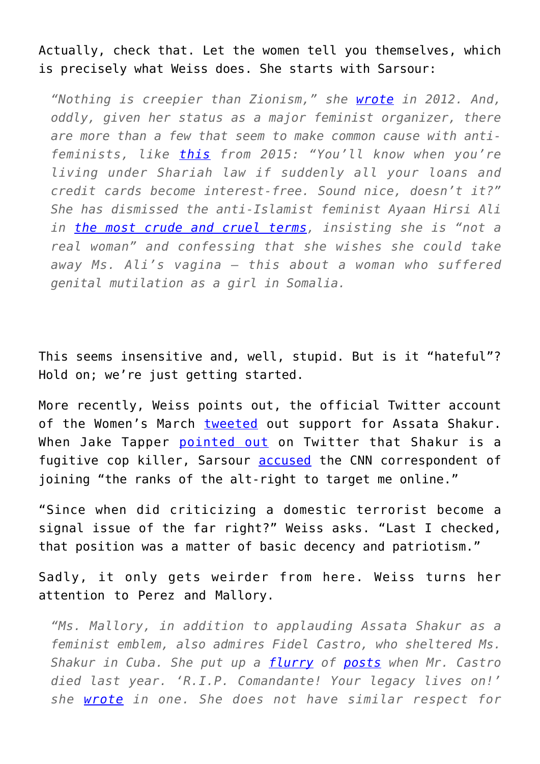Actually, check that. Let the women tell you themselves, which is precisely what Weiss does. She starts with Sarsour:

*"Nothing is creepier than Zionism," she [wrote](https://twitter.com/lsarsour?lang=en) in 2012. And, oddly, given her status as a major feminist organizer, there are more than a few that seem to make common cause with antifeminists, like [this](https://twitter.com/lsarsour/status/598327052727615488?lang=en) from 2015: "You'll know when you're living under Shariah law if suddenly all your loans and credit cards become interest-free. Sound nice, doesn't it?" She has dismissed the anti-Islamist feminist Ayaan Hirsi Ali in [the most crude and cruel terms,](http://nytlive.nytimes.com/womenintheworld/2017/02/02/ayaan-hirsi-ali-says-controversial-womens-march-organizer-is-a-fake-feminist/) insisting she is "not a real woman" and confessing that she wishes she could take away Ms. Ali's vagina — this about a woman who suffered genital mutilation as a girl in Somalia.*

This seems insensitive and, well, stupid. But is it "hateful"? Hold on; we're just getting started.

More recently, Weiss points out, the official Twitter account of the Women's March [tweeted](https://twitter.com/womensmarch/status/886652647582859264?lang=en) out support for Assata Shakur. When Jake Tapper [pointed out](https://twitter.com/jaketapper/status/887404064811757568?lang=en) on Twitter that Shakur is a fugitive cop killer, Sarsour [accused](https://twitter.com/lsarsour/status/887440456199659520) the CNN correspondent of joining "the ranks of the alt-right to target me online."

"Since when did criticizing a domestic terrorist become a signal issue of the far right?" Weiss asks. "Last I checked, that position was a matter of basic decency and patriotism."

Sadly, it only gets weirder from here. Weiss turns her attention to Perez and Mallory.

*"Ms. Mallory, in addition to applauding Assata Shakur as a feminist emblem, also admires Fidel Castro, who sheltered Ms. Shakur in Cuba. She put up a [flurry](https://www.instagram.com/p/BNSTPHRgMrL/?taken-by=tamikadmallory) of [posts](https://www.instagram.com/p/BNSSlVtAIIJ/?taken-by=tamikadmallory) when Mr. Castro died last year. 'R.I.P. Comandante! Your legacy lives on!' she [wrote](https://www.instagram.com/p/BNRz0itgVVK/?taken-by=tamikadmallory) in one. She does not have similar respect for*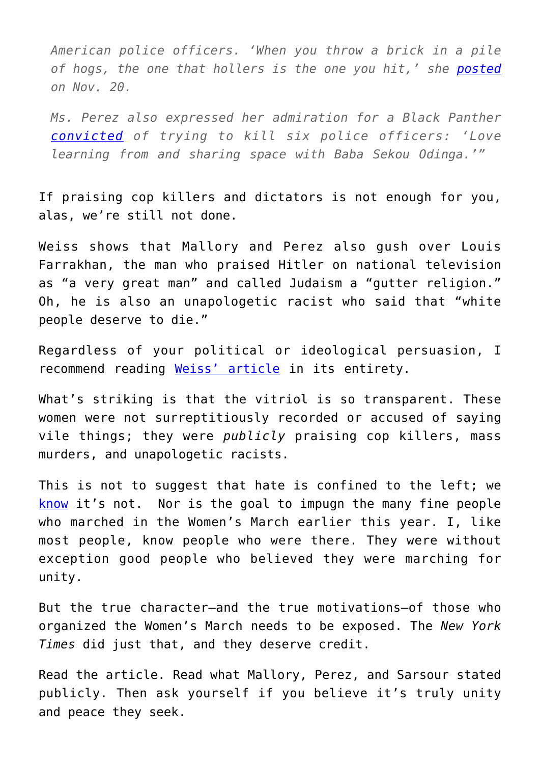*American police officers. 'When you throw a brick in a pile of hogs, the one that hollers is the one you hit,' she [posted](https://www.instagram.com/p/BNCmvuaA-7_/?taken-by=tamikadmallory) on Nov. 20.*

*Ms. Perez also expressed her admiration for a Black Panther [convicted](https://www.dnainfo.com/new-york/20141126/central-harlem/black-panther-convicted-of-trying-kill-6-officers-released-from-prison) of trying to kill six police officers: 'Love learning from and sharing space with Baba Sekou Odinga.'"*

If praising cop killers and dictators is not enough for you, alas, we're still not done.

Weiss shows that Mallory and Perez also gush over Louis Farrakhan, the man who praised Hitler on national television as "a very great man" and called Judaism a "gutter religion." Oh, he is also an unapologetic racist who said that "white people deserve to die."

Regardless of your political or ideological persuasion, I recommend reading [Weiss' article](https://www.nytimes.com/2017/08/01/opinion/womens-march-progressives-hate.html) in its entirety.

What's striking is that the vitriol is so transparent. These women were not surreptitiously recorded or accused of saying vile things; they were *publicly* praising cop killers, mass murders, and unapologetic racists.

This is not to suggest that hate is confined to the left; we [know](https://www.washingtonpost.com/local/lets-party-like-its-1933-inside-the-disturbing-alt-right-world-of-richard-spencer/2016/11/22/cf81dc74-aff7-11e6-840f-e3ebab6bcdd3_story.html) it's not. Nor is the goal to impugn the many fine people who marched in the Women's March earlier this year. I, like most people, know people who were there. They were without exception good people who believed they were marching for unity.

But the true character—and the true motivations—of those who organized the Women's March needs to be exposed. The *New York Times* did just that, and they deserve credit.

Read the article. Read what Mallory, Perez, and Sarsour stated publicly. Then ask yourself if you believe it's truly unity and peace they seek.